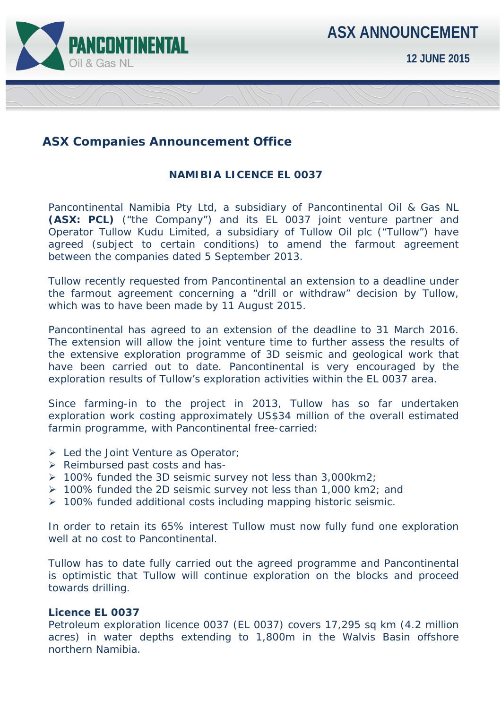

## **ASX Companies Announcement Office**

## **NAMIBIA LICENCE EL 0037**

Pancontinental Namibia Pty Ltd, a subsidiary of Pancontinental Oil & Gas NL **(ASX: PCL)** ("the Company") and its EL 0037 joint venture partner and Operator Tullow Kudu Limited, a subsidiary of Tullow Oil plc ("Tullow") have agreed (subject to certain conditions) to amend the farmout agreement between the companies dated 5 September 2013.

Tullow recently requested from Pancontinental an extension to a deadline under the farmout agreement concerning a "drill or withdraw" decision by Tullow, which was to have been made by 11 August 2015.

Pancontinental has agreed to an extension of the deadline to 31 March 2016. The extension will allow the joint venture time to further assess the results of the extensive exploration programme of 3D seismic and geological work that have been carried out to date. Pancontinental is very encouraged by the exploration results of Tullow's exploration activities within the EL 0037 area.

Since farming-in to the project in 2013, Tullow has so far undertaken exploration work costing approximately US\$34 million of the overall estimated farmin programme, with Pancontinental free-carried:

- Eed the Joint Venture as Operator;
- $\triangleright$  Reimbursed past costs and has-
- 100% funded the 3D seismic survey not less than 3,000km2;
- 100% funded the 2D seismic survey not less than 1,000 km2; and
- 100% funded additional costs including mapping historic seismic.

In order to retain its 65% interest Tullow must now fully fund one exploration well at no cost to Pancontinental.

Tullow has to date fully carried out the agreed programme and Pancontinental is optimistic that Tullow will continue exploration on the blocks and proceed towards drilling.

## **Licence EL 0037**

Petroleum exploration licence 0037 (EL 0037) covers 17,295 sq km (4.2 million acres) in water depths extending to 1,800m in the Walvis Basin offshore northern Namibia.